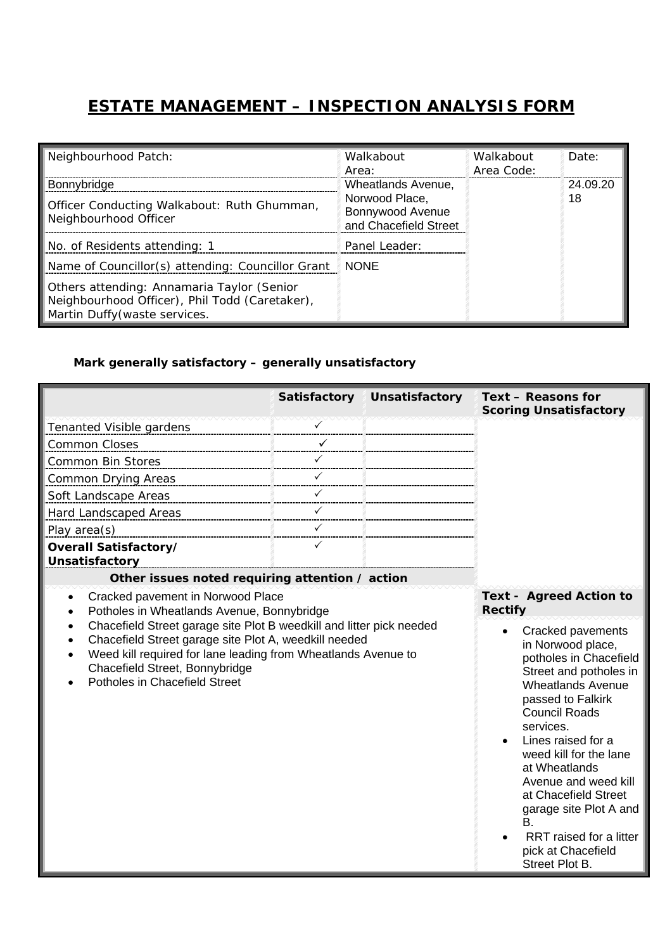## **ESTATE MANAGEMENT – INSPECTION ANALYSIS FORM**

| Neighbourhood Patch:                                                                                                          | Walkabout<br>Area:                                                                | Walkabout<br>Area Code: | Date:    |
|-------------------------------------------------------------------------------------------------------------------------------|-----------------------------------------------------------------------------------|-------------------------|----------|
| Bonnybridge                                                                                                                   | Wheatlands Avenue.<br>Norwood Place,<br>Bonnywood Avenue<br>and Chacefield Street |                         | 24.09.20 |
| Officer Conducting Walkabout: Ruth Ghumman,<br>Neighbourhood Officer                                                          |                                                                                   |                         | 18       |
| No. of Residents attending: 1                                                                                                 | Panel Leader:                                                                     |                         |          |
| Name of Councillor(s) attending: Councillor Grant                                                                             | <b>NONE</b>                                                                       |                         |          |
| Others attending: Annamaria Taylor (Senior<br>Neighbourhood Officer), Phil Todd (Caretaker),<br>Martin Duffy (waste services. |                                                                                   |                         |          |

## *Mark generally satisfactory – generally unsatisfactory*

|                                                                                                                                                                                                                                                                                                                                                                   | Satisfactory | Unsatisfactory | Text - Reasons for<br><b>Scoring Unsatisfactory</b>                                                                                                                                                                                                                                                                                                                                                                                                                   |  |
|-------------------------------------------------------------------------------------------------------------------------------------------------------------------------------------------------------------------------------------------------------------------------------------------------------------------------------------------------------------------|--------------|----------------|-----------------------------------------------------------------------------------------------------------------------------------------------------------------------------------------------------------------------------------------------------------------------------------------------------------------------------------------------------------------------------------------------------------------------------------------------------------------------|--|
| Tenanted Visible gardens                                                                                                                                                                                                                                                                                                                                          |              |                |                                                                                                                                                                                                                                                                                                                                                                                                                                                                       |  |
| <b>Common Closes</b>                                                                                                                                                                                                                                                                                                                                              |              |                |                                                                                                                                                                                                                                                                                                                                                                                                                                                                       |  |
| Common Bin Stores                                                                                                                                                                                                                                                                                                                                                 |              |                |                                                                                                                                                                                                                                                                                                                                                                                                                                                                       |  |
| <b>Common Drying Areas</b>                                                                                                                                                                                                                                                                                                                                        |              |                |                                                                                                                                                                                                                                                                                                                                                                                                                                                                       |  |
| Soft Landscape Areas                                                                                                                                                                                                                                                                                                                                              |              |                |                                                                                                                                                                                                                                                                                                                                                                                                                                                                       |  |
| Hard Landscaped Areas                                                                                                                                                                                                                                                                                                                                             | ✓            |                |                                                                                                                                                                                                                                                                                                                                                                                                                                                                       |  |
| Play area(s)                                                                                                                                                                                                                                                                                                                                                      | ✓            |                |                                                                                                                                                                                                                                                                                                                                                                                                                                                                       |  |
| Overall Satisfactory/                                                                                                                                                                                                                                                                                                                                             | ✓            |                |                                                                                                                                                                                                                                                                                                                                                                                                                                                                       |  |
| <b>Unsatisfactory</b>                                                                                                                                                                                                                                                                                                                                             |              |                |                                                                                                                                                                                                                                                                                                                                                                                                                                                                       |  |
| Other issues noted requiring attention / action                                                                                                                                                                                                                                                                                                                   |              |                |                                                                                                                                                                                                                                                                                                                                                                                                                                                                       |  |
| Cracked pavement in Norwood Place<br>$\bullet$<br>Potholes in Wheatlands Avenue, Bonnybridge<br>Chacefield Street garage site Plot B weedkill and litter pick needed<br>Chacefield Street garage site Plot A, weedkill needed<br>Weed kill required for lane leading from Wheatlands Avenue to<br>Chacefield Street, Bonnybridge<br>Potholes in Chacefield Street |              |                | <b>Text - Agreed Action to</b><br><b>Rectify</b><br>Cracked pavements<br>$\bullet$<br>in Norwood place,<br>potholes in Chacefield<br>Street and potholes in<br><b>Wheatlands Avenue</b><br>passed to Falkirk<br><b>Council Roads</b><br>services.<br>Lines raised for a<br>weed kill for the lane<br>at Wheatlands<br>Avenue and weed kill<br>at Chacefield Street<br>garage site Plot A and<br>В.<br>RRT raised for a litter<br>pick at Chacefield<br>Street Plot B. |  |